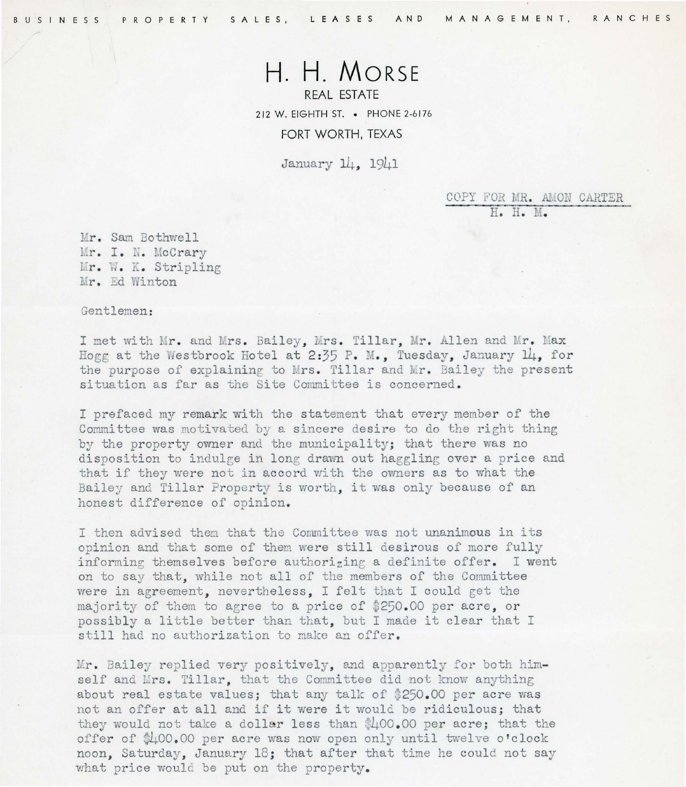## **H. H. MORSE**

REAL ESTATE 212 W. EIGHTH ST. • PHONE 2-6 176 FORT WORTH, TEXAS

January 14, 1941

COPY FOR MR. AMON CARTER H. H. M.

Mr. Sam Bothwell Mr. I. N. McCrary Mr. W. K. Stripling Mr. Ed Winton

Gentlemen :

I met with Mr. and Mrs. Bailey, Mrs. Tillar, Mr. Allen and Mr. Max Hogg at the Westbrook Hotel at 2:35 P. M., Tuesday, January 14, for the purpose of explaining to Mrs. Tillar and Mr. Bailey the present situation as far as the Site Committee is concerned.

I prefaced my remark with the statement that every member of the Committee was motivated by a sincere desire to do the right thing by the property owner and the municipality; that there was no disposition to indulge in long drawn out haggling over a price and that if they were not in accord with the owners as to what the Bailey and Tillar Property is worth, it was only because of an honest difference of opinion.

I then advised them that the Committee was not unanimous in its opinion and that some of them were still desirous of more fully informing themselves before authorizing a definite offer. I went on to say that, while not all of the members of the Committee were in agreement, nevertheless, I felt that I could get the majority of them to agree to a price of \$250.00 per acre. or possibly a little better than that, but I made it clear that I still had no authorization to make an offer.

Mr. Bailey replied very positively, and apparently for both himself and Mrs. Tillar, that the Committee did not know anything about real estate values; that any talk of \$250 . 00 per acre was not an offer at all and if it were it would be ridiculous; that they would not take a dollar less than  $400.00$  per acre; that the offer of \$400 . 00 per acre was now open only until twelve o'clock *noon ,* Saturday, January 18; that after that time he could not say what price would be put on the property.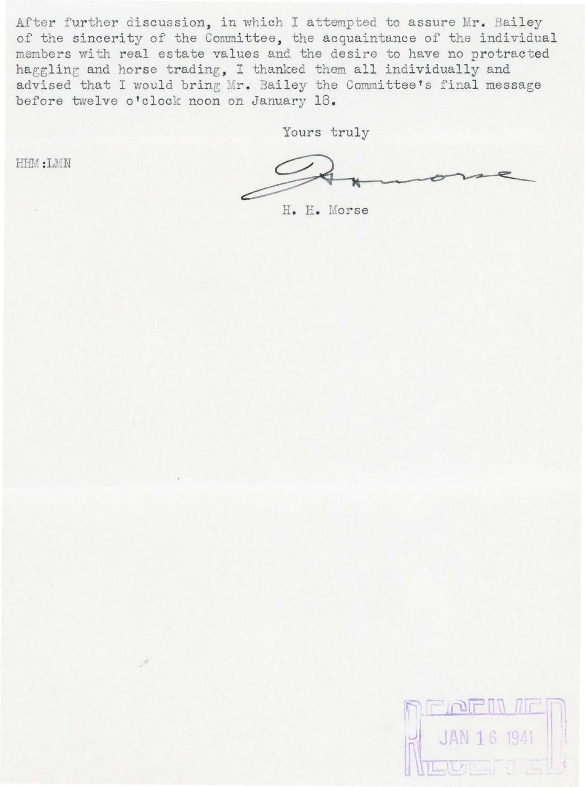After further discussion, in which I attempted to assure Mr. Bailey of the sincerity of the Committee, the acquaintance of the individual membe rs with real estate values and the desire to have no protracted haggling and horse trading, I thanked them all individually and advised that I would bring Mr. Bailey the Committee's final message before twelve o'clock noon on January 18.

Yours truly

HHM :LMN

H. H. Morse